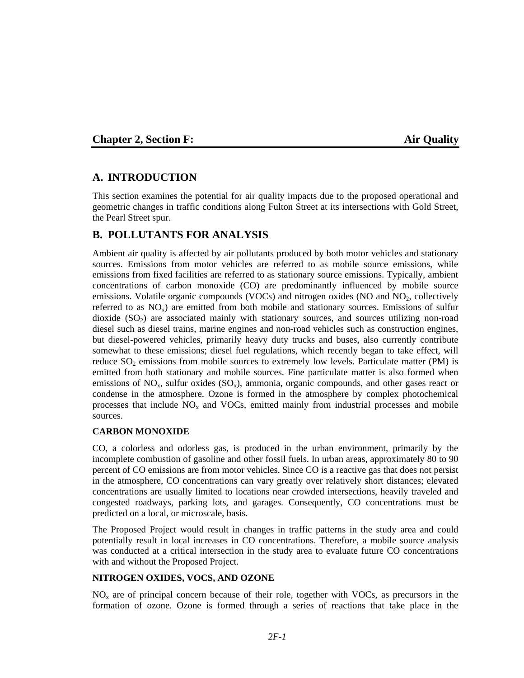## **Chapter 2, Section F:** Air Quality

# **A. INTRODUCTION**

This section examines the potential for air quality impacts due to the proposed operational and geometric changes in traffic conditions along Fulton Street at its intersections with Gold Street, the Pearl Street spur.

# **B. POLLUTANTS FOR ANALYSIS**

Ambient air quality is affected by air pollutants produced by both motor vehicles and stationary sources. Emissions from motor vehicles are referred to as mobile source emissions, while emissions from fixed facilities are referred to as stationary source emissions. Typically, ambient concentrations of carbon monoxide (CO) are predominantly influenced by mobile source emissions. Volatile organic compounds (VOCs) and nitrogen oxides (NO and NO<sub>2</sub>, collectively referred to as  $NO<sub>x</sub>$ ) are emitted from both mobile and stationary sources. Emissions of sulfur dioxide  $(SO<sub>2</sub>)$  are associated mainly with stationary sources, and sources utilizing non-road diesel such as diesel trains, marine engines and non-road vehicles such as construction engines, but diesel-powered vehicles, primarily heavy duty trucks and buses, also currently contribute somewhat to these emissions; diesel fuel regulations, which recently began to take effect, will reduce  $SO_2$  emissions from mobile sources to extremely low levels. Particulate matter (PM) is emitted from both stationary and mobile sources. Fine particulate matter is also formed when emissions of  $NO_x$ , sulfur oxides  $(SO_x)$ , ammonia, organic compounds, and other gases react or condense in the atmosphere. Ozone is formed in the atmosphere by complex photochemical processes that include  $NO<sub>x</sub>$  and  $VOCs$ , emitted mainly from industrial processes and mobile sources.

#### **CARBON MONOXIDE**

CO, a colorless and odorless gas, is produced in the urban environment, primarily by the incomplete combustion of gasoline and other fossil fuels. In urban areas, approximately 80 to 90 percent of CO emissions are from motor vehicles. Since CO is a reactive gas that does not persist in the atmosphere, CO concentrations can vary greatly over relatively short distances; elevated concentrations are usually limited to locations near crowded intersections, heavily traveled and congested roadways, parking lots, and garages. Consequently, CO concentrations must be predicted on a local, or microscale, basis.

The Proposed Project would result in changes in traffic patterns in the study area and could potentially result in local increases in CO concentrations. Therefore, a mobile source analysis was conducted at a critical intersection in the study area to evaluate future CO concentrations with and without the Proposed Project.

#### **NITROGEN OXIDES, VOCS, AND OZONE**

 $NO<sub>x</sub>$  are of principal concern because of their role, together with VOCs, as precursors in the formation of ozone. Ozone is formed through a series of reactions that take place in the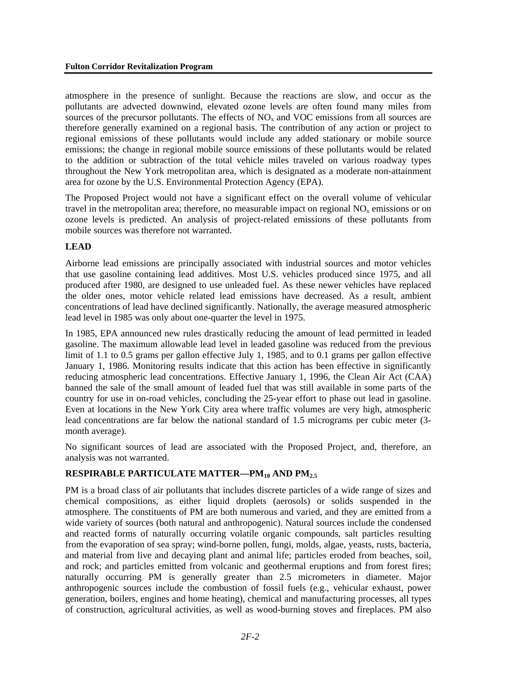atmosphere in the presence of sunlight. Because the reactions are slow, and occur as the pollutants are advected downwind, elevated ozone levels are often found many miles from sources of the precursor pollutants. The effects of  $NO<sub>x</sub>$  and VOC emissions from all sources are therefore generally examined on a regional basis. The contribution of any action or project to regional emissions of these pollutants would include any added stationary or mobile source emissions; the change in regional mobile source emissions of these pollutants would be related to the addition or subtraction of the total vehicle miles traveled on various roadway types throughout the New York metropolitan area, which is designated as a moderate non-attainment area for ozone by the U.S. Environmental Protection Agency (EPA).

The Proposed Project would not have a significant effect on the overall volume of vehicular travel in the metropolitan area; therefore, no measurable impact on regional  $NO<sub>x</sub>$  emissions or on ozone levels is predicted. An analysis of project-related emissions of these pollutants from mobile sources was therefore not warranted.

## **LEAD**

Airborne lead emissions are principally associated with industrial sources and motor vehicles that use gasoline containing lead additives. Most U.S. vehicles produced since 1975, and all produced after 1980, are designed to use unleaded fuel. As these newer vehicles have replaced the older ones, motor vehicle related lead emissions have decreased. As a result, ambient concentrations of lead have declined significantly. Nationally, the average measured atmospheric lead level in 1985 was only about one-quarter the level in 1975.

In 1985, EPA announced new rules drastically reducing the amount of lead permitted in leaded gasoline. The maximum allowable lead level in leaded gasoline was reduced from the previous limit of 1.1 to 0.5 grams per gallon effective July 1, 1985, and to 0.1 grams per gallon effective January 1, 1986. Monitoring results indicate that this action has been effective in significantly reducing atmospheric lead concentrations. Effective January 1, 1996, the Clean Air Act (CAA) banned the sale of the small amount of leaded fuel that was still available in some parts of the country for use in on-road vehicles, concluding the 25-year effort to phase out lead in gasoline. Even at locations in the New York City area where traffic volumes are very high, atmospheric lead concentrations are far below the national standard of 1.5 micrograms per cubic meter (3 month average).

No significant sources of lead are associated with the Proposed Project, and, therefore, an analysis was not warranted.

# **RESPIRABLE PARTICULATE MATTER—PM<sub>10</sub> AND PM<sub>2.5</sub>**

PM is a broad class of air pollutants that includes discrete particles of a wide range of sizes and chemical compositions, as either liquid droplets (aerosols) or solids suspended in the atmosphere. The constituents of PM are both numerous and varied, and they are emitted from a wide variety of sources (both natural and anthropogenic). Natural sources include the condensed and reacted forms of naturally occurring volatile organic compounds, salt particles resulting from the evaporation of sea spray; wind-borne pollen, fungi, molds, algae, yeasts, rusts, bacteria, and material from live and decaying plant and animal life; particles eroded from beaches, soil, and rock; and particles emitted from volcanic and geothermal eruptions and from forest fires; naturally occurring PM is generally greater than 2.5 micrometers in diameter. Major anthropogenic sources include the combustion of fossil fuels (e.g., vehicular exhaust, power generation, boilers, engines and home heating), chemical and manufacturing processes, all types of construction, agricultural activities, as well as wood-burning stoves and fireplaces. PM also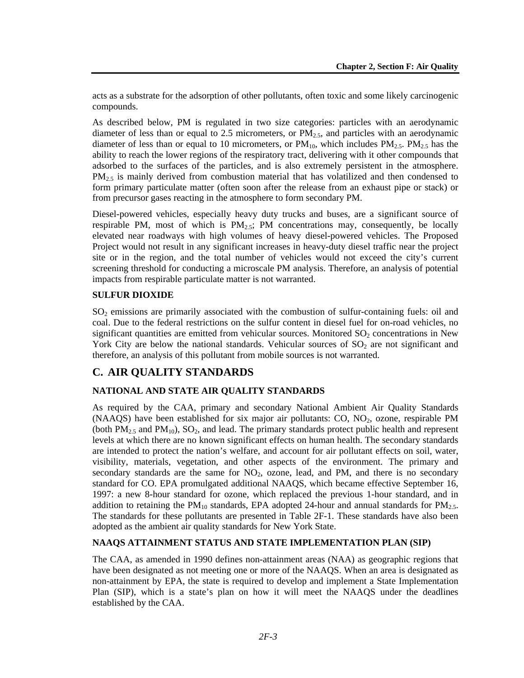acts as a substrate for the adsorption of other pollutants, often toxic and some likely carcinogenic compounds.

As described below, PM is regulated in two size categories: particles with an aerodynamic diameter of less than or equal to 2.5 micrometers, or  $PM_{2.5}$ , and particles with an aerodynamic diameter of less than or equal to 10 micrometers, or  $PM_{10}$ , which includes  $PM_{2.5}$ .  $PM_{2.5}$  has the ability to reach the lower regions of the respiratory tract, delivering with it other compounds that adsorbed to the surfaces of the particles, and is also extremely persistent in the atmosphere. PM<sub>2.5</sub> is mainly derived from combustion material that has volatilized and then condensed to form primary particulate matter (often soon after the release from an exhaust pipe or stack) or from precursor gases reacting in the atmosphere to form secondary PM.

Diesel-powered vehicles, especially heavy duty trucks and buses, are a significant source of respirable PM, most of which is  $PM_{2.5}$ ; PM concentrations may, consequently, be locally elevated near roadways with high volumes of heavy diesel-powered vehicles. The Proposed Project would not result in any significant increases in heavy-duty diesel traffic near the project site or in the region, and the total number of vehicles would not exceed the city's current screening threshold for conducting a microscale PM analysis. Therefore, an analysis of potential impacts from respirable particulate matter is not warranted.

## **SULFUR DIOXIDE**

 $SO<sub>2</sub>$  emissions are primarily associated with the combustion of sulfur-containing fuels: oil and coal. Due to the federal restrictions on the sulfur content in diesel fuel for on-road vehicles, no significant quantities are emitted from vehicular sources. Monitored  $SO<sub>2</sub>$  concentrations in New York City are below the national standards. Vehicular sources of  $SO<sub>2</sub>$  are not significant and therefore, an analysis of this pollutant from mobile sources is not warranted.

# **C. AIR QUALITY STANDARDS**

# **NATIONAL AND STATE AIR QUALITY STANDARDS**

As required by the CAA, primary and secondary National Ambient Air Quality Standards (NAAQS) have been established for six major air pollutants:  $CO$ ,  $NO<sub>2</sub>$ , ozone, respirable PM (both  $PM_{2.5}$  and  $PM_{10}$ ), SO<sub>2</sub>, and lead. The primary standards protect public health and represent levels at which there are no known significant effects on human health. The secondary standards are intended to protect the nation's welfare, and account for air pollutant effects on soil, water, visibility, materials, vegetation, and other aspects of the environment. The primary and secondary standards are the same for  $NO<sub>2</sub>$ , ozone, lead, and PM, and there is no secondary standard for CO. EPA promulgated additional NAAQS, which became effective September 16, 1997: a new 8-hour standard for ozone, which replaced the previous 1-hour standard, and in addition to retaining the  $PM_{10}$  standards, EPA adopted 24-hour and annual standards for  $PM_{2.5}$ . The standards for these pollutants are presented in Table 2F-1. These standards have also been adopted as the ambient air quality standards for New York State.

#### **NAAQS ATTAINMENT STATUS AND STATE IMPLEMENTATION PLAN (SIP)**

The CAA, as amended in 1990 defines non-attainment areas (NAA) as geographic regions that have been designated as not meeting one or more of the NAAQS. When an area is designated as non-attainment by EPA, the state is required to develop and implement a State Implementation Plan (SIP), which is a state's plan on how it will meet the NAAQS under the deadlines established by the CAA.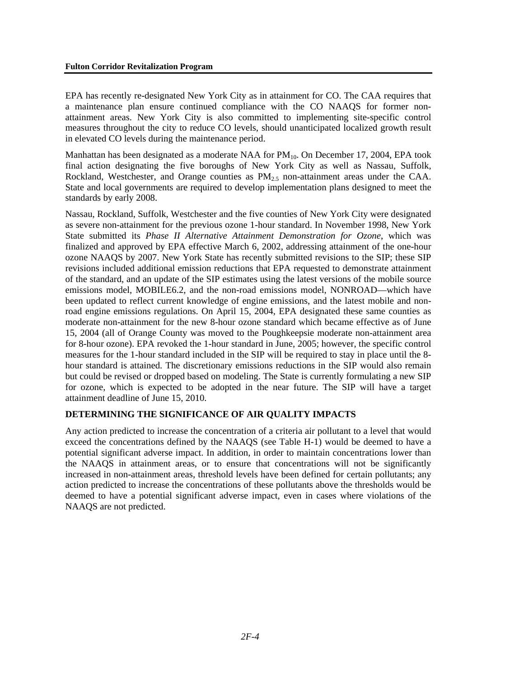EPA has recently re-designated New York City as in attainment for CO. The CAA requires that a maintenance plan ensure continued compliance with the CO NAAQS for former nonattainment areas. New York City is also committed to implementing site-specific control measures throughout the city to reduce CO levels, should unanticipated localized growth result in elevated CO levels during the maintenance period.

Manhattan has been designated as a moderate NAA for  $PM_{10}$ . On December 17, 2004, EPA took final action designating the five boroughs of New York City as well as Nassau, Suffolk, Rockland, Westchester, and Orange counties as  $PM<sub>2.5</sub>$  non-attainment areas under the CAA. State and local governments are required to develop implementation plans designed to meet the standards by early 2008.

Nassau, Rockland, Suffolk, Westchester and the five counties of New York City were designated as severe non-attainment for the previous ozone 1-hour standard. In November 1998, New York State submitted its *Phase II Alternative Attainment Demonstration for Ozone*, which was finalized and approved by EPA effective March 6, 2002, addressing attainment of the one-hour ozone NAAQS by 2007. New York State has recently submitted revisions to the SIP; these SIP revisions included additional emission reductions that EPA requested to demonstrate attainment of the standard, and an update of the SIP estimates using the latest versions of the mobile source emissions model, MOBILE6.2, and the non-road emissions model, NONROAD—which have been updated to reflect current knowledge of engine emissions, and the latest mobile and nonroad engine emissions regulations. On April 15, 2004, EPA designated these same counties as moderate non-attainment for the new 8-hour ozone standard which became effective as of June 15, 2004 (all of Orange County was moved to the Poughkeepsie moderate non-attainment area for 8-hour ozone). EPA revoked the 1-hour standard in June, 2005; however, the specific control measures for the 1-hour standard included in the SIP will be required to stay in place until the 8 hour standard is attained. The discretionary emissions reductions in the SIP would also remain but could be revised or dropped based on modeling. The State is currently formulating a new SIP for ozone, which is expected to be adopted in the near future. The SIP will have a target attainment deadline of June 15, 2010.

# **DETERMINING THE SIGNIFICANCE OF AIR QUALITY IMPACTS**

Any action predicted to increase the concentration of a criteria air pollutant to a level that would exceed the concentrations defined by the NAAQS (see Table H-1) would be deemed to have a potential significant adverse impact. In addition, in order to maintain concentrations lower than the NAAQS in attainment areas, or to ensure that concentrations will not be significantly increased in non-attainment areas, threshold levels have been defined for certain pollutants; any action predicted to increase the concentrations of these pollutants above the thresholds would be deemed to have a potential significant adverse impact, even in cases where violations of the NAAQS are not predicted.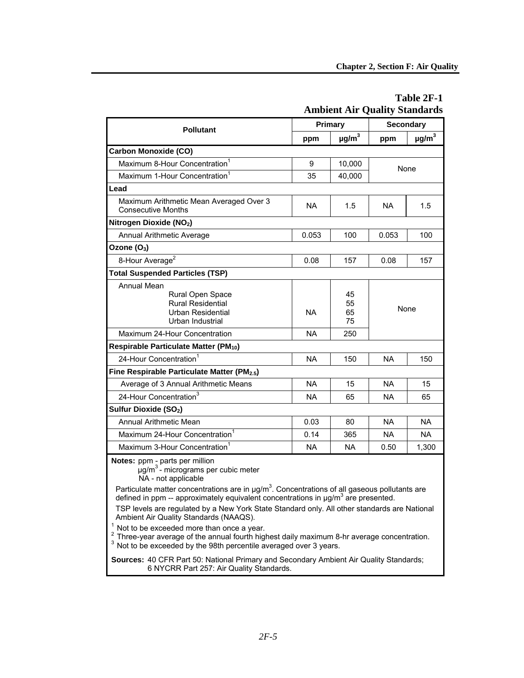|                                                                                                             | <b>Ambient Air Quality Standards</b> |                        |             |                |  |
|-------------------------------------------------------------------------------------------------------------|--------------------------------------|------------------------|-------------|----------------|--|
| <b>Pollutant</b>                                                                                            | Primary                              |                        | Secondary   |                |  |
|                                                                                                             | ppm                                  | $\mu$ g/m <sup>3</sup> | ppm         | $\mu$ g/m $^3$ |  |
| <b>Carbon Monoxide (CO)</b>                                                                                 |                                      |                        |             |                |  |
| Maximum 8-Hour Concentration <sup>1</sup>                                                                   | 9                                    | 10,000                 | None        |                |  |
| Maximum 1-Hour Concentration <sup>1</sup>                                                                   | 35                                   | 40,000                 |             |                |  |
| Lead                                                                                                        |                                      |                        |             |                |  |
| Maximum Arithmetic Mean Averaged Over 3<br><b>Consecutive Months</b>                                        | <b>NA</b>                            | 1.5                    | NA.         | 1.5            |  |
| Nitrogen Dioxide (NO2)                                                                                      |                                      |                        |             |                |  |
| <b>Annual Arithmetic Average</b>                                                                            | 0.053                                | 100                    | 0.053       | 100            |  |
| Ozone (O <sub>3</sub> )                                                                                     |                                      |                        |             |                |  |
| 8-Hour Average <sup>2</sup>                                                                                 | 0.08                                 | 157                    | 0.08        | 157            |  |
| <b>Total Suspended Particles (TSP)</b>                                                                      |                                      |                        |             |                |  |
| <b>Annual Mean</b><br>Rural Open Space<br><b>Rural Residential</b><br>Urban Residential<br>Urban Industrial | <b>NA</b>                            | 45<br>55<br>65<br>75   | <b>None</b> |                |  |
| Maximum 24-Hour Concentration                                                                               | <b>NA</b>                            | 250                    |             |                |  |
| Respirable Particulate Matter (PM <sub>10</sub> )                                                           |                                      |                        |             |                |  |
| 24-Hour Concentration <sup>1</sup>                                                                          | <b>NA</b>                            | 150                    | <b>NA</b>   | 150            |  |
| Fine Respirable Particulate Matter (PM2.5)                                                                  |                                      |                        |             |                |  |
| Average of 3 Annual Arithmetic Means                                                                        | <b>NA</b>                            | 15                     | <b>NA</b>   | 15             |  |
| 24-Hour Concentration <sup>3</sup>                                                                          | <b>NA</b>                            | 65                     | NA.         | 65             |  |
| Sulfur Dioxide (SO <sub>2</sub> )                                                                           |                                      |                        |             |                |  |
| <b>Annual Arithmetic Mean</b>                                                                               | 0.03                                 | 80                     | <b>NA</b>   | <b>NA</b>      |  |
| Maximum 24-Hour Concentration <sup>1</sup>                                                                  | 0.14                                 | 365                    | <b>NA</b>   | <b>NA</b>      |  |
| Maximum 3-Hour Concentration <sup>1</sup>                                                                   | <b>NA</b>                            | <b>NA</b>              | 0.50        | 1,300          |  |

## **Table 2F-1 Ambient Air Quality Standards**

**Notes:** ppm - parts per million

..<br>µg/m<sup>3</sup> - micrograms per cubic meter NA - not applicable

Particulate matter concentrations are in  $\mu$ g/m<sup>3</sup>. Concentrations of all gaseous pollutants are defined in ppm -- approximately equivalent concentrations in  $\mu$ g/m<sup>3</sup> are presented.

TSP levels are regulated by a New York State Standard only. All other standards are National Ambient Air Quality Standards (NAAQS).

 $<sup>1</sup>$  Not to be exceeded more than once a year.</sup>

Three-year average of the annual fourth highest daily maximum 8-hr average concentration.

Not to be exceeded by the 98th percentile averaged over 3 years.

**Sources:** 40 CFR Part 50: National Primary and Secondary Ambient Air Quality Standards; 6 NYCRR Part 257: Air Quality Standards.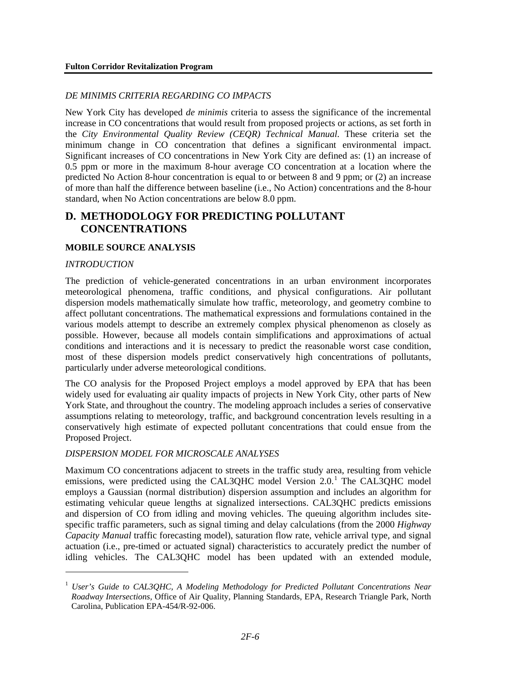## *DE MINIMIS CRITERIA REGARDING CO IMPACTS*

New York City has developed *de minimis* criteria to assess the significance of the incremental increase in CO concentrations that would result from proposed projects or actions, as set forth in the *City Environmental Quality Review (CEQR) Technical Manual*. These criteria set the minimum change in CO concentration that defines a significant environmental impact. Significant increases of CO concentrations in New York City are defined as: (1) an increase of 0.5 ppm or more in the maximum 8-hour average CO concentration at a location where the predicted No Action 8-hour concentration is equal to or between 8 and 9 ppm; or (2) an increase of more than half the difference between baseline (i.e., No Action) concentrations and the 8-hour standard, when No Action concentrations are below 8.0 ppm.

# **D. METHODOLOGY FOR PREDICTING POLLUTANT CONCENTRATIONS**

## **MOBILE SOURCE ANALYSIS**

#### *INTRODUCTION*

<u>.</u>

The prediction of vehicle-generated concentrations in an urban environment incorporates meteorological phenomena, traffic conditions, and physical configurations. Air pollutant dispersion models mathematically simulate how traffic, meteorology, and geometry combine to affect pollutant concentrations. The mathematical expressions and formulations contained in the various models attempt to describe an extremely complex physical phenomenon as closely as possible. However, because all models contain simplifications and approximations of actual conditions and interactions and it is necessary to predict the reasonable worst case condition, most of these dispersion models predict conservatively high concentrations of pollutants, particularly under adverse meteorological conditions.

The CO analysis for the Proposed Project employs a model approved by EPA that has been widely used for evaluating air quality impacts of projects in New York City, other parts of New York State, and throughout the country. The modeling approach includes a series of conservative assumptions relating to meteorology, traffic, and background concentration levels resulting in a conservatively high estimate of expected pollutant concentrations that could ensue from the Proposed Project.

#### *DISPERSION MODEL FOR MICROSCALE ANALYSES*

Maximum CO concentrations adjacent to streets in the traffic study area, resulting from vehicle emissions, were predicted using the CAL3QHC model Version 2.0.<sup>[1](#page-5-0)</sup> The CAL3QHC model employs a Gaussian (normal distribution) dispersion assumption and includes an algorithm for estimating vehicular queue lengths at signalized intersections. CAL3QHC predicts emissions and dispersion of CO from idling and moving vehicles. The queuing algorithm includes sitespecific traffic parameters, such as signal timing and delay calculations (from the 2000 *Highway Capacity Manual* traffic forecasting model), saturation flow rate, vehicle arrival type, and signal actuation (i.e., pre-timed or actuated signal) characteristics to accurately predict the number of idling vehicles. The CAL3QHC model has been updated with an extended module,

<span id="page-5-0"></span><sup>&</sup>lt;sup>1</sup> *User's Guide to CAL3QHC, A Modeling Methodology for Predicted Pollutant Concentrations Near Roadway Intersections,* Office of Air Quality, Planning Standards, EPA, Research Triangle Park, North Carolina, Publication EPA-454/R-92-006.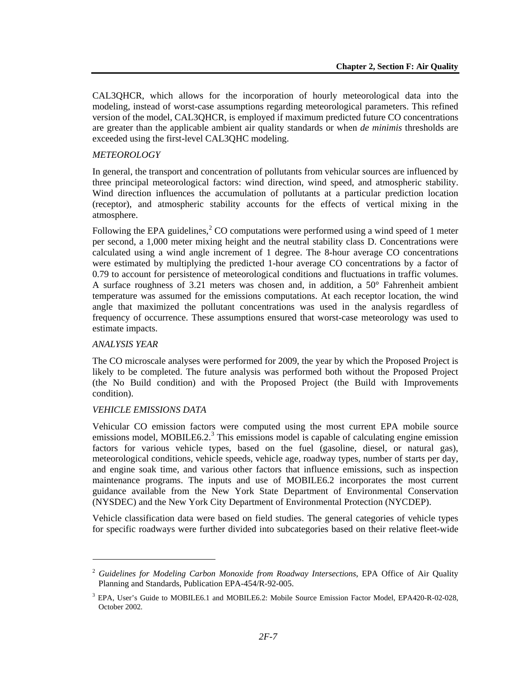CAL3QHCR, which allows for the incorporation of hourly meteorological data into the modeling, instead of worst-case assumptions regarding meteorological parameters. This refined version of the model, CAL3QHCR, is employed if maximum predicted future CO concentrations are greater than the applicable ambient air quality standards or when *de minimis* thresholds are exceeded using the first-level CAL3QHC modeling.

#### *METEOROLOGY*

In general, the transport and concentration of pollutants from vehicular sources are influenced by three principal meteorological factors: wind direction, wind speed, and atmospheric stability. Wind direction influences the accumulation of pollutants at a particular prediction location (receptor), and atmospheric stability accounts for the effects of vertical mixing in the atmosphere.

Following the EPA guidelines,<sup>[2](#page-6-0)</sup> CO computations were performed using a wind speed of 1 meter per second, a 1,000 meter mixing height and the neutral stability class D. Concentrations were calculated using a wind angle increment of 1 degree. The 8-hour average CO concentrations were estimated by multiplying the predicted 1-hour average CO concentrations by a factor of 0.79 to account for persistence of meteorological conditions and fluctuations in traffic volumes. A surface roughness of 3.21 meters was chosen and, in addition, a 50° Fahrenheit ambient temperature was assumed for the emissions computations. At each receptor location, the wind angle that maximized the pollutant concentrations was used in the analysis regardless of frequency of occurrence. These assumptions ensured that worst-case meteorology was used to estimate impacts.

#### *ANALYSIS YEAR*

l

The CO microscale analyses were performed for 2009, the year by which the Proposed Project is likely to be completed. The future analysis was performed both without the Proposed Project (the No Build condition) and with the Proposed Project (the Build with Improvements condition).

#### *VEHICLE EMISSIONS DATA*

Vehicular CO emission factors were computed using the most current EPA mobile source emissions model, MOBILE6.2. $^3$  $^3$  This emissions model is capable of calculating engine emission factors for various vehicle types, based on the fuel (gasoline, diesel, or natural gas), meteorological conditions, vehicle speeds, vehicle age, roadway types, number of starts per day, and engine soak time, and various other factors that influence emissions, such as inspection maintenance programs. The inputs and use of MOBILE6.2 incorporates the most current guidance available from the New York State Department of Environmental Conservation (NYSDEC) and the New York City Department of Environmental Protection (NYCDEP).

Vehicle classification data were based on field studies. The general categories of vehicle types for specific roadways were further divided into subcategories based on their relative fleet-wide

<span id="page-6-0"></span><sup>2</sup> *Guidelines for Modeling Carbon Monoxide from Roadway Intersections*, EPA Office of Air Quality Planning and Standards, Publication EPA-454/R-92-005.

<span id="page-6-1"></span><sup>&</sup>lt;sup>3</sup> EPA, User's Guide to MOBILE6.1 and MOBILE6.2: Mobile Source Emission Factor Model, EPA420-R-02-028, October 2002.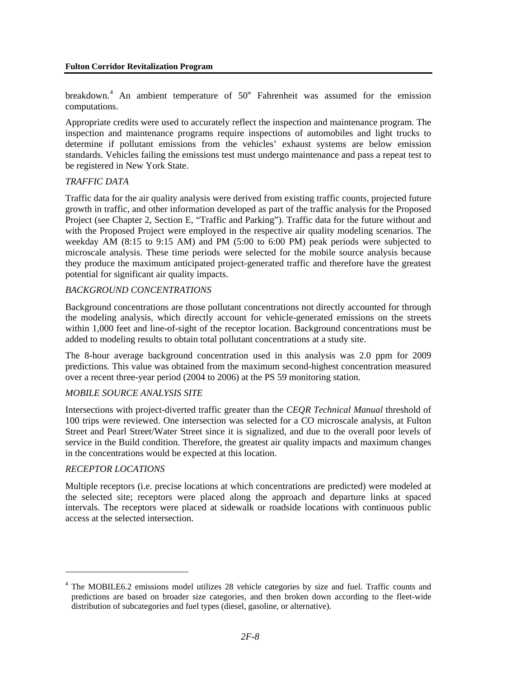breakdown.<sup>[4](#page-7-0)</sup> An ambient temperature of 50° Fahrenheit was assumed for the emission computations.

Appropriate credits were used to accurately reflect the inspection and maintenance program. The inspection and maintenance programs require inspections of automobiles and light trucks to determine if pollutant emissions from the vehicles' exhaust systems are below emission standards. Vehicles failing the emissions test must undergo maintenance and pass a repeat test to be registered in New York State.

#### *TRAFFIC DATA*

Traffic data for the air quality analysis were derived from existing traffic counts, projected future growth in traffic, and other information developed as part of the traffic analysis for the Proposed Project (see Chapter 2, Section E, "Traffic and Parking"). Traffic data for the future without and with the Proposed Project were employed in the respective air quality modeling scenarios. The weekday AM (8:15 to 9:15 AM) and PM (5:00 to 6:00 PM) peak periods were subjected to microscale analysis. These time periods were selected for the mobile source analysis because they produce the maximum anticipated project-generated traffic and therefore have the greatest potential for significant air quality impacts.

#### *BACKGROUND CONCENTRATIONS*

Background concentrations are those pollutant concentrations not directly accounted for through the modeling analysis, which directly account for vehicle-generated emissions on the streets within 1,000 feet and line-of-sight of the receptor location. Background concentrations must be added to modeling results to obtain total pollutant concentrations at a study site.

The 8-hour average background concentration used in this analysis was 2.0 ppm for 2009 predictions. This value was obtained from the maximum second-highest concentration measured over a recent three-year period (2004 to 2006) at the PS 59 monitoring station.

#### *MOBILE SOURCE ANALYSIS SITE*

Intersections with project-diverted traffic greater than the *CEQR Technical Manual* threshold of 100 trips were reviewed. One intersection was selected for a CO microscale analysis, at Fulton Street and Pearl Street/Water Street since it is signalized, and due to the overall poor levels of service in the Build condition. Therefore, the greatest air quality impacts and maximum changes in the concentrations would be expected at this location.

#### *RECEPTOR LOCATIONS*

<u>.</u>

Multiple receptors (i.e. precise locations at which concentrations are predicted) were modeled at the selected site; receptors were placed along the approach and departure links at spaced intervals. The receptors were placed at sidewalk or roadside locations with continuous public access at the selected intersection.

<span id="page-7-0"></span><sup>&</sup>lt;sup>4</sup> The MOBILE6.2 emissions model utilizes 28 vehicle categories by size and fuel. Traffic counts and predictions are based on broader size categories, and then broken down according to the fleet-wide distribution of subcategories and fuel types (diesel, gasoline, or alternative).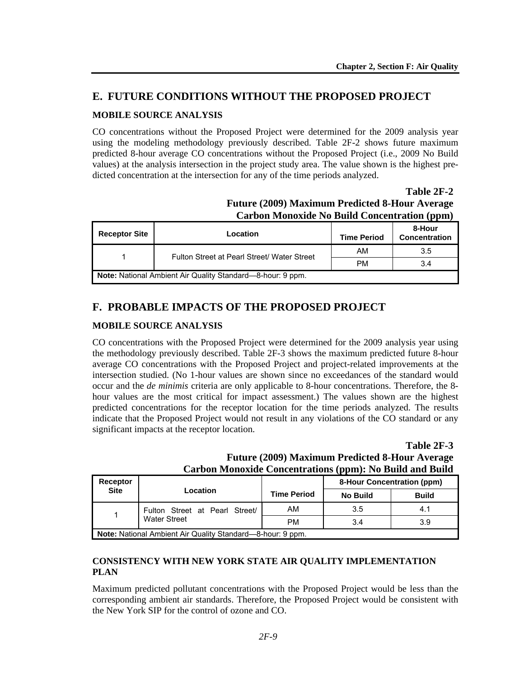# **E. FUTURE CONDITIONS WITHOUT THE PROPOSED PROJECT**

# **MOBILE SOURCE ANALYSIS**

CO concentrations without the Proposed Project were determined for the 2009 analysis year using the modeling methodology previously described. Table 2F-2 shows future maximum predicted 8-hour average CO concentrations without the Proposed Project (i.e., 2009 No Build values) at the analysis intersection in the project study area. The value shown is the highest predicted concentration at the intersection for any of the time periods analyzed.

# **Table 2F-2 Future (2009) Maximum Predicted 8-Hour Average Carbon Monoxide No Build Concentration (ppm)**

| <b>Receptor Site</b>                                              | Location                                    | <b>Time Period</b> | 8-Hour<br>Concentration |  |  |  |
|-------------------------------------------------------------------|---------------------------------------------|--------------------|-------------------------|--|--|--|
|                                                                   | Fulton Street at Pearl Street/ Water Street | AM                 | 3.5                     |  |  |  |
|                                                                   |                                             | <b>PM</b>          | 3.4                     |  |  |  |
| <b>Note:</b> National Ambient Air Quality Standard—8-hour: 9 ppm. |                                             |                    |                         |  |  |  |

# **F. PROBABLE IMPACTS OF THE PROPOSED PROJECT**

# **MOBILE SOURCE ANALYSIS**

CO concentrations with the Proposed Project were determined for the 2009 analysis year using the methodology previously described. Table 2F-3 shows the maximum predicted future 8-hour average CO concentrations with the Proposed Project and project-related improvements at the intersection studied. (No 1-hour values are shown since no exceedances of the standard would occur and the *de minimis* criteria are only applicable to 8-hour concentrations. Therefore, the 8 hour values are the most critical for impact assessment.) The values shown are the highest predicted concentrations for the receptor location for the time periods analyzed. The results indicate that the Proposed Project would not result in any violations of the CO standard or any significant impacts at the receptor location.

# **Table 2F-3 Future (2009) Maximum Predicted 8-Hour Average Carbon Monoxide Concentrations (ppm): No Build and Build**

| <b>Receptor</b>                                            | Location                                              |                    | 8-Hour Concentration (ppm) |              |  |  |
|------------------------------------------------------------|-------------------------------------------------------|--------------------|----------------------------|--------------|--|--|
| <b>Site</b>                                                |                                                       | <b>Time Period</b> | <b>No Build</b>            | <b>Build</b> |  |  |
|                                                            | Fulton Street at Pearl Street/<br><b>Water Street</b> | AM                 | 3.5                        | 4.1          |  |  |
|                                                            |                                                       | <b>PM</b>          | 3.4                        | 3.9          |  |  |
| Note: National Ambient Air Quality Standard—8-hour: 9 ppm. |                                                       |                    |                            |              |  |  |

# **CONSISTENCY WITH NEW YORK STATE AIR QUALITY IMPLEMENTATION PLAN**

Maximum predicted pollutant concentrations with the Proposed Project would be less than the corresponding ambient air standards. Therefore, the Proposed Project would be consistent with the New York SIP for the control of ozone and CO.